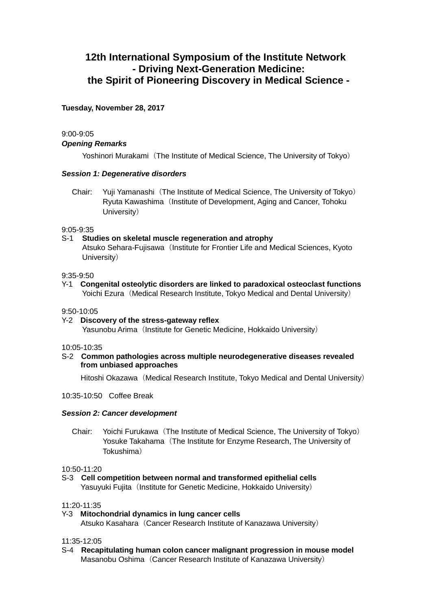# **12th International Symposium of the Institute Network - Driving Next-Generation Medicine: the Spirit of Pioneering Discovery in Medical Science -**

# **Tuesday, November 28, 2017**

# 9:00-9:05

# *Opening Remarks*

Yoshinori Murakami (The Institute of Medical Science, The University of Tokyo)

# *Session 1: Degenerative disorders*

Chair: Yuji Yamanashi(The Institute of Medical Science, The University of Tokyo) Ryuta Kawashima (Institute of Development, Aging and Cancer, Tohoku University)

## 9:05-9:35

# S-1 **Studies on skeletal muscle regeneration and atrophy**

Atsuko Sehara-Fujisawa (Institute for Frontier Life and Medical Sciences, Kyoto University)

## 9:35-9:50

Y-1 **Congenital osteolytic disorders are linked to paradoxical osteoclast functions** Yoichi Ezura (Medical Research Institute, Tokyo Medical and Dental University)

## 9:50-10:05

Y-2 **Discovery of the stress-gateway reflex** Yasunobu Arima (Institute for Genetic Medicine, Hokkaido University)

## 10:05-10:35

## S-2 **Common pathologies across multiple neurodegenerative diseases revealed from unbiased approaches**

Hitoshi Okazawa (Medical Research Institute, Tokyo Medical and Dental University)

10:35-10:50 Coffee Break

## *Session 2: Cancer development*

Chair: Yoichi Furukawa (The Institute of Medical Science, The University of Tokyo) Yosuke Takahama (The Institute for Enzyme Research, The University of Tokushima)

## 10:50-11:20

S-3 **Cell competition between normal and transformed epithelial cells** Yasuyuki Fujita (Institute for Genetic Medicine, Hokkaido University)

## 11:20-11:35

Y-3 **Mitochondrial dynamics in lung cancer cells** Atsuko Kasahara (Cancer Research Institute of Kanazawa University)

## 11:35-12:05

S-4 **Recapitulating human colon cancer malignant progression in mouse model** Masanobu Oshima (Cancer Research Institute of Kanazawa University)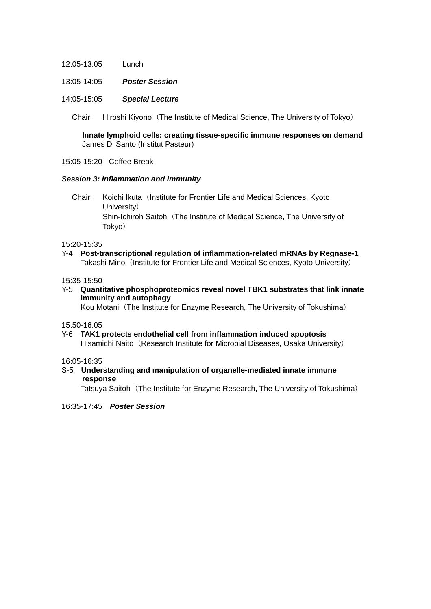- 12:05-13:05 Lunch
- 13:05-14:05 *Poster Session*
- 14:05-15:05 *Special Lecture*

Chair: Hiroshi Kiyono (The Institute of Medical Science, The University of Tokyo)

**Innate lymphoid cells: creating tissue-specific immune responses on demand** James Di Santo (Institut Pasteur)

15:05-15:20 Coffee Break

## *Session 3: Inflammation and immunity*

Chair: Koichi Ikuta (Institute for Frontier Life and Medical Sciences, Kyoto University) Shin-Ichiroh Saitoh (The Institute of Medical Science, The University of Tokyo)

15:20-15:35

Y-4 **Post-transcriptional regulation of inflammation-related mRNAs by Regnase-1** Takashi Mino (Institute for Frontier Life and Medical Sciences, Kyoto University)

15:35-15:50

Y-5 **Quantitative phosphoproteomics reveal novel TBK1 substrates that link innate immunity and autophagy**

Kou Motani (The Institute for Enzyme Research, The University of Tokushima)

15:50-16:05

Y-6 **TAK1 protects endothelial cell from inflammation induced apoptosis** Hisamichi Naito (Research Institute for Microbial Diseases, Osaka University)

16:05-16:35

S-5 **Understanding and manipulation of organelle-mediated innate immune response**

Tatsuya Saitoh (The Institute for Enzyme Research, The University of Tokushima)

16:35-17:45 *Poster Session*